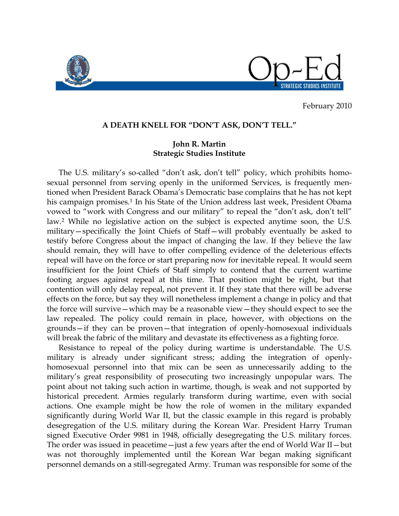

February 2010

## **A DEATH KNELL FOR "DON'T ASK, DON'T TELL."**

## **John R. Martin Strategic Studies Institute**

The U.S. military's so-called "don't ask, don't tell" policy, which prohibits homosexual personnel from serving openly in the uniformed Services, is frequently mentioned when President Barack Obama"s Democratic base complains that he has not kept his campaign promises.<sup>1</sup> In his State of the Union address last week, President Obama vowed to "work with Congress and our military" to repeal the "don't ask, don't tell" law.<sup>2</sup> While no legislative action on the subject is expected anytime soon, the U.S. military—specifically the Joint Chiefs of Staff—will probably eventually be asked to testify before Congress about the impact of changing the law. If they believe the law should remain, they will have to offer compelling evidence of the deleterious effects repeal will have on the force or start preparing now for inevitable repeal. It would seem insufficient for the Joint Chiefs of Staff simply to contend that the current wartime footing argues against repeal at this time. That position might be right, but that contention will only delay repeal, not prevent it. If they state that there will be adverse effects on the force, but say they will nonetheless implement a change in policy and that the force will survive—which may be a reasonable view—they should expect to see the law repealed. The policy could remain in place, however, with objections on the grounds—if they can be proven—that integration of openly-homosexual individuals will break the fabric of the military and devastate its effectiveness as a fighting force.

Resistance to repeal of the policy during wartime is understandable. The U.S. military is already under significant stress; adding the integration of openlyhomosexual personnel into that mix can be seen as unnecessarily adding to the military"s great responsibility of prosecuting two increasingly unpopular wars. The point about not taking such action in wartime, though, is weak and not supported by historical precedent. Armies regularly transform during wartime, even with social actions. One example might be how the role of women in the military expanded significantly during World War II, but the classic example in this regard is probably desegregation of the U.S. military during the Korean War. President Harry Truman signed Executive Order 9981 in 1948, officially desegregating the U.S. military forces. The order was issued in peacetime—just a few years after the end of World War II—but was not thoroughly implemented until the Korean War began making significant personnel demands on a still-segregated Army. Truman was responsible for some of the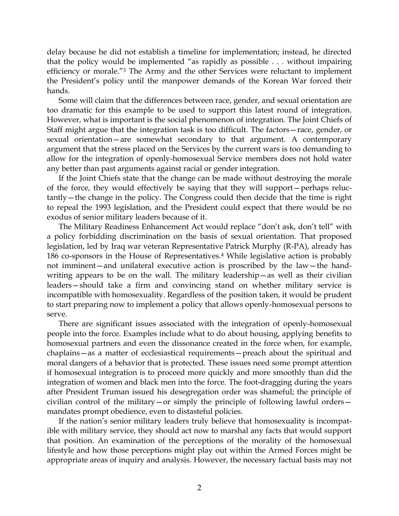delay because he did not establish a timeline for implementation; instead, he directed that the policy would be implemented "as rapidly as possible . . . without impairing efficiency or morale."<sup>3</sup> The Army and the other Services were reluctant to implement the President"s policy until the manpower demands of the Korean War forced their hands.

Some will claim that the differences between race, gender, and sexual orientation are too dramatic for this example to be used to support this latest round of integration. However, what is important is the social phenomenon of integration. The Joint Chiefs of Staff might argue that the integration task is too difficult. The factors—race, gender, or sexual orientation—are somewhat secondary to that argument. A contemporary argument that the stress placed on the Services by the current wars is too demanding to allow for the integration of openly-homosexual Service members does not hold water any better than past arguments against racial or gender integration.

If the Joint Chiefs state that the change can be made without destroying the morale of the force, they would effectively be saying that they will support—perhaps reluctantly—the change in the policy. The Congress could then decide that the time is right to repeal the 1993 legislation, and the President could expect that there would be no exodus of senior military leaders because of it.

The Military Readiness Enhancement Act would replace "don't ask, don't tell" with a policy forbidding discrimination on the basis of sexual orientation. That proposed legislation, led by Iraq war veteran Representative Patrick Murphy (R-PA), already has 186 co-sponsors in the House of Representatives.<sup>4</sup> While legislative action is probably not imminent—and unilateral executive action is proscribed by the law—the handwriting appears to be on the wall. The military leadership—as well as their civilian leaders—should take a firm and convincing stand on whether military service is incompatible with homosexuality. Regardless of the position taken, it would be prudent to start preparing now to implement a policy that allows openly-homosexual persons to serve.

There are significant issues associated with the integration of openly-homosexual people into the force. Examples include what to do about housing, applying benefits to homosexual partners and even the dissonance created in the force when, for example, chaplains—as a matter of ecclesiastical requirements—preach about the spiritual and moral dangers of a behavior that is protected. These issues need some prompt attention if homosexual integration is to proceed more quickly and more smoothly than did the integration of women and black men into the force. The foot-dragging during the years after President Truman issued his desegregation order was shameful; the principle of civilian control of the military—or simply the principle of following lawful orders mandates prompt obedience, even to distasteful policies.

If the nation"s senior military leaders truly believe that homosexuality is incompatible with military service, they should act now to marshal any facts that would support that position. An examination of the perceptions of the morality of the homosexual lifestyle and how those perceptions might play out within the Armed Forces might be appropriate areas of inquiry and analysis. However, the necessary factual basis may not